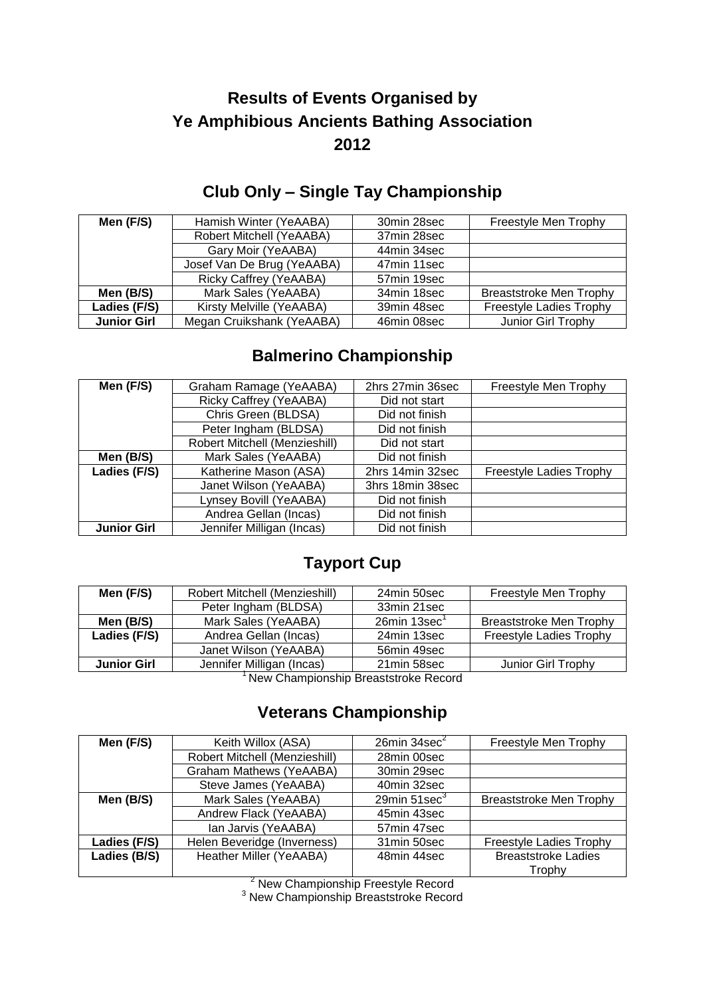## **Results of Events Organised by Ye Amphibious Ancients Bathing Association 2012**

#### **Club Only – Single Tay Championship**

| Men (F/S)          | Hamish Winter (YeAABA)     | 30min 28sec | Freestyle Men Trophy           |
|--------------------|----------------------------|-------------|--------------------------------|
|                    | Robert Mitchell (YeAABA)   | 37min 28sec |                                |
|                    | Gary Moir (YeAABA)         | 44min 34sec |                                |
|                    | Josef Van De Brug (YeAABA) | 47min 11sec |                                |
|                    | Ricky Caffrey (YeAABA)     | 57min 19sec |                                |
| Men (B/S)          | Mark Sales (YeAABA)        | 34min 18sec | <b>Breaststroke Men Trophy</b> |
| Ladies (F/S)       | Kirsty Melville (YeAABA)   | 39min 48sec | <b>Freestyle Ladies Trophy</b> |
| <b>Junior Girl</b> | Megan Cruikshank (YeAABA)  | 46min 08sec | Junior Girl Trophy             |

#### **Balmerino Championship**

| Men (F/S)          | Graham Ramage (YeAABA)        | 2hrs 27min 36sec | Freestyle Men Trophy    |
|--------------------|-------------------------------|------------------|-------------------------|
|                    | Ricky Caffrey (YeAABA)        | Did not start    |                         |
|                    | Chris Green (BLDSA)           | Did not finish   |                         |
|                    | Peter Ingham (BLDSA)          | Did not finish   |                         |
|                    | Robert Mitchell (Menzieshill) | Did not start    |                         |
| Men (B/S)          | Mark Sales (YeAABA)           | Did not finish   |                         |
| Ladies (F/S)       | Katherine Mason (ASA)         | 2hrs 14min 32sec | Freestyle Ladies Trophy |
|                    | Janet Wilson (YeAABA)         | 3hrs 18min 38sec |                         |
|                    | Lynsey Bovill (YeAABA)        | Did not finish   |                         |
|                    | Andrea Gellan (Incas)         | Did not finish   |                         |
| <b>Junior Girl</b> | Jennifer Milligan (Incas)     | Did not finish   |                         |

#### **Tayport Cup**

| Men (F/S)                            | Robert Mitchell (Menzieshill) | 24min 50sec        | Freestyle Men Trophy           |
|--------------------------------------|-------------------------------|--------------------|--------------------------------|
|                                      | Peter Ingham (BLDSA)          | 33min 21sec        |                                |
| Men (B/S)                            | Mark Sales (YeAABA)           | $26$ min 13sec $1$ | <b>Breaststroke Men Trophy</b> |
| Ladies (F/S)                         | Andrea Gellan (Incas)         | 24min 13sec        | <b>Freestyle Ladies Trophy</b> |
|                                      | Janet Wilson (YeAABA)         | 56min 49sec        |                                |
| <b>Junior Girl</b>                   | Jennifer Milligan (Incas)     | 21min 58sec        | Junior Girl Trophy             |
| Now Championabin Dreastetrake Desard |                               |                    |                                |

<sup>1</sup>New Championship Breaststroke Record

#### **Veterans Championship**

| Men (F/S)    | Keith Willox (ASA)             | 26min 34sec <sup>2</sup> | Freestyle Men Trophy           |
|--------------|--------------------------------|--------------------------|--------------------------------|
|              | Robert Mitchell (Menzieshill)  | 28min 00sec              |                                |
|              | <b>Graham Mathews (YeAABA)</b> | 30min 29sec              |                                |
|              | Steve James (YeAABA)           | 40min 32sec              |                                |
| Men (B/S)    | Mark Sales (YeAABA)            | $29$ min $51$ sec $3$    | <b>Breaststroke Men Trophy</b> |
|              | Andrew Flack (YeAABA)          | 45min 43sec              |                                |
|              | Ian Jarvis (YeAABA)            | 57min 47sec              |                                |
| Ladies (F/S) | Helen Beveridge (Inverness)    | 31min 50sec              | Freestyle Ladies Trophy        |
| Ladies (B/S) | Heather Miller (YeAABA)        | 48min 44sec              | <b>Breaststroke Ladies</b>     |
|              |                                |                          | Trophy                         |

<sup>2</sup> New Championship Freestyle Record

<sup>3</sup> New Championship Breaststroke Record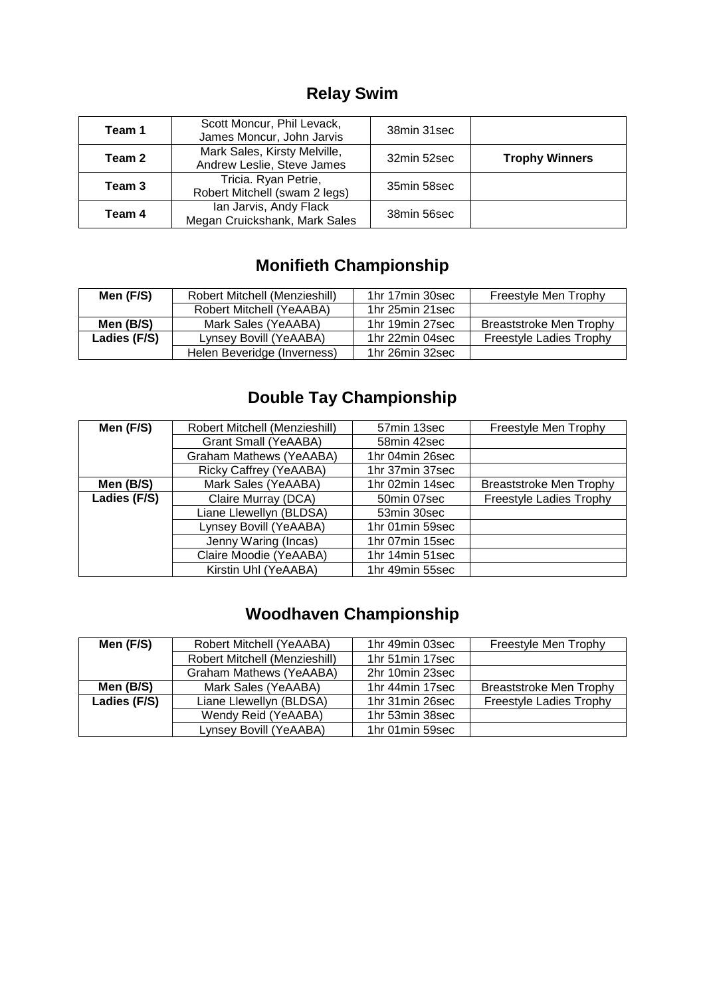# **Relay Swim**

| Team 1 | Scott Moncur, Phil Levack,<br>James Moncur, John Jarvis    | 38min 31sec |                       |
|--------|------------------------------------------------------------|-------------|-----------------------|
| Team 2 | Mark Sales, Kirsty Melville,<br>Andrew Leslie, Steve James | 32min 52sec | <b>Trophy Winners</b> |
| Team 3 | Tricia. Ryan Petrie,<br>Robert Mitchell (swam 2 legs)      | 35min 58sec |                       |
| Team 4 | Ian Jarvis, Andy Flack<br>Megan Cruickshank, Mark Sales    | 38min 56sec |                       |

# **Monifieth Championship**

| Men (F/S)    | Robert Mitchell (Menzieshill) | 1hr 17min 30sec | Freestyle Men Trophy           |
|--------------|-------------------------------|-----------------|--------------------------------|
|              | Robert Mitchell (YeAABA)      | 1hr 25min 21sec |                                |
| Men (B/S)    | Mark Sales (YeAABA)           | 1hr 19min 27sec | Breaststroke Men Trophy        |
| Ladies (F/S) | Lynsey Bovill (YeAABA)        | 1hr 22min 04sec | <b>Freestyle Ladies Trophy</b> |
|              | Helen Beveridge (Inverness)   | 1hr 26min 32sec |                                |

### **Double Tay Championship**

| Men (F/S)    | Robert Mitchell (Menzieshill)  | 57min 13sec     | Freestyle Men Trophy           |
|--------------|--------------------------------|-----------------|--------------------------------|
|              | <b>Grant Small (YeAABA)</b>    | 58min 42sec     |                                |
|              | <b>Graham Mathews (YeAABA)</b> | 1hr 04min 26sec |                                |
|              | Ricky Caffrey (YeAABA)         | 1hr 37min 37sec |                                |
| Men (B/S)    | Mark Sales (YeAABA)            | 1hr 02min 14sec | <b>Breaststroke Men Trophy</b> |
| Ladies (F/S) | Claire Murray (DCA)            | 50min 07sec     | <b>Freestyle Ladies Trophy</b> |
|              | Liane Llewellyn (BLDSA)        | 53min 30sec     |                                |
|              | Lynsey Bovill (YeAABA)         | 1hr 01min 59sec |                                |
|              | Jenny Waring (Incas)           | 1hr 07min 15sec |                                |
|              | Claire Moodie (YeAABA)         | 1hr 14min 51sec |                                |
|              | Kirstin Uhl (YeAABA)           | 1hr 49min 55sec |                                |

### **Woodhaven Championship**

| Men (F/S)    | Robert Mitchell (YeAABA)      | 1hr 49min 03sec | Freestyle Men Trophy           |
|--------------|-------------------------------|-----------------|--------------------------------|
|              | Robert Mitchell (Menzieshill) | 1hr 51min 17sec |                                |
|              | Graham Mathews (YeAABA)       | 2hr 10min 23sec |                                |
| Men (B/S)    | Mark Sales (YeAABA)           | 1hr 44min 17sec | <b>Breaststroke Men Trophy</b> |
| Ladies (F/S) | Liane Llewellyn (BLDSA)       | 1hr 31min 26sec | Freestyle Ladies Trophy        |
|              | Wendy Reid (YeAABA)           | 1hr 53min 38sec |                                |
|              | Lynsey Bovill (YeAABA)        | 1hr 01min 59sec |                                |